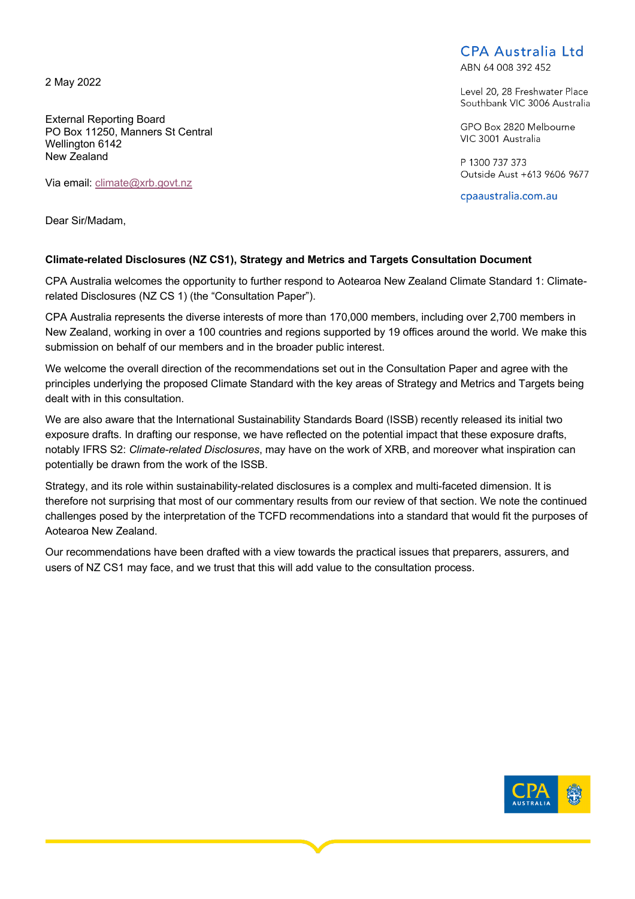2 May 2022

External Reporting Board PO Box 11250, Manners St Central Wellington 6142 New Zealand

Via email: climate@xrb.govt.nz

Dear Sir/Madam,

# **CPA Australia Ltd**

ARN 64 008 392 452

Level 20, 28 Freshwater Place Southbank VIC 3006 Australia

GPO Box 2820 Melbourne VIC 3001 Australia

P 1300 737 373 Outside Aust +613 9606 9677

cpaaustralia.com.au

## **Climate-related Disclosures (NZ CS1), Strategy and Metrics and Targets Consultation Document**

CPA Australia welcomes the opportunity to further respond to Aotearoa New Zealand Climate Standard 1: Climaterelated Disclosures (NZ CS 1) (the "Consultation Paper").

CPA Australia represents the diverse interests of more than 170,000 members, including over 2,700 members in New Zealand, working in over a 100 countries and regions supported by 19 offices around the world. We make this submission on behalf of our members and in the broader public interest.

We welcome the overall direction of the recommendations set out in the Consultation Paper and agree with the principles underlying the proposed Climate Standard with the key areas of Strategy and Metrics and Targets being dealt with in this consultation.

We are also aware that the International Sustainability Standards Board (ISSB) recently released its initial two exposure drafts. In drafting our response, we have reflected on the potential impact that these exposure drafts, notably IFRS S2: *Climate-related Disclosures*, may have on the work of XRB, and moreover what inspiration can potentially be drawn from the work of the ISSB.

Strategy, and its role within sustainability-related disclosures is a complex and multi-faceted dimension. It is therefore not surprising that most of our commentary results from our review of that section. We note the continued challenges posed by the interpretation of the TCFD recommendations into a standard that would fit the purposes of Aotearoa New Zealand.

Our recommendations have been drafted with a view towards the practical issues that preparers, assurers, and users of NZ CS1 may face, and we trust that this will add value to the consultation process.

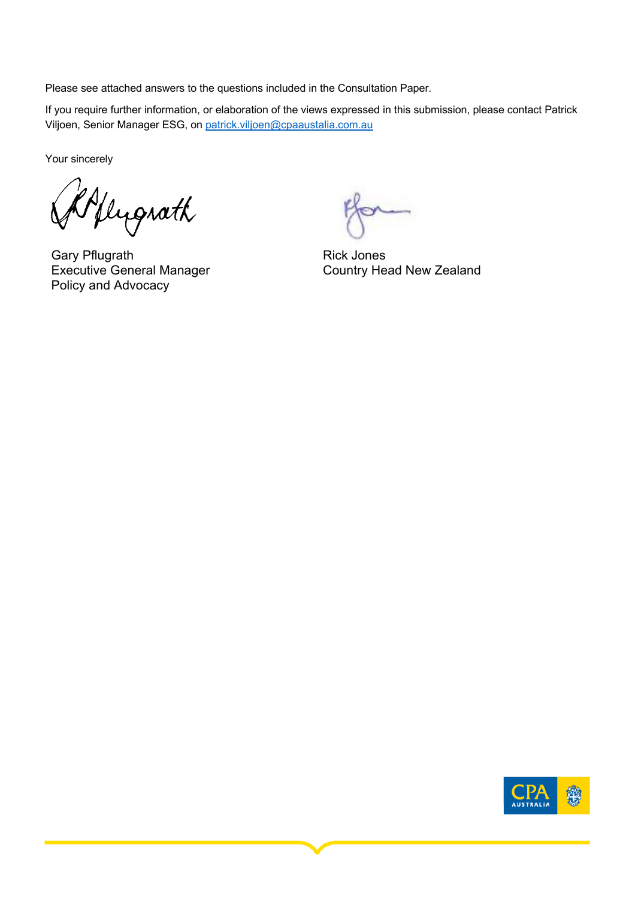Please see attached answers to the questions included in the Consultation Paper.

If you require further information, or elaboration of the views expressed in this submission, please contact Patrick Viljoen, Senior Manager ESG, on patrick.viljoen@cpaaustalia.com.au

Your sincerely

Oflygrath

Gary Pflugrath Executive General Manager Policy and Advocacy

Rick Jones Country Head New Zealand

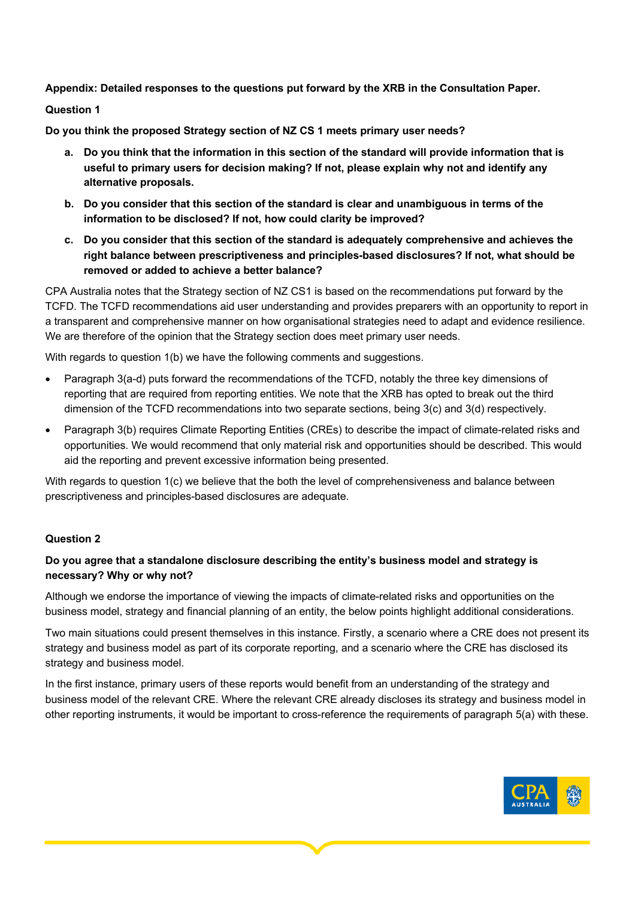**Appendix: Detailed responses to the questions put forward by the XRB in the Consultation Paper.**

**Question 1**

**Do you think the proposed Strategy section of NZ CS 1 meets primary user needs?** 

- **a. Do you think that the information in this section of the standard will provide information that is useful to primary users for decision making? If not, please explain why not and identify any alternative proposals.**
- **b. Do you consider that this section of the standard is clear and unambiguous in terms of the information to be disclosed? If not, how could clarity be improved?**
- **c. Do you consider that this section of the standard is adequately comprehensive and achieves the right balance between prescriptiveness and principles-based disclosures? If not, what should be removed or added to achieve a better balance?**

CPA Australia notes that the Strategy section of NZ CS1 is based on the recommendations put forward by the TCFD. The TCFD recommendations aid user understanding and provides preparers with an opportunity to report in a transparent and comprehensive manner on how organisational strategies need to adapt and evidence resilience. We are therefore of the opinion that the Strategy section does meet primary user needs.

With regards to question 1(b) we have the following comments and suggestions.

- Paragraph 3(a-d) puts forward the recommendations of the TCFD, notably the three key dimensions of reporting that are required from reporting entities. We note that the XRB has opted to break out the third dimension of the TCFD recommendations into two separate sections, being 3(c) and 3(d) respectively.
- Paragraph 3(b) requires Climate Reporting Entities (CREs) to describe the impact of climate-related risks and opportunities. We would recommend that only material risk and opportunities should be described. This would aid the reporting and prevent excessive information being presented.

With regards to question 1(c) we believe that the both the level of comprehensiveness and balance between prescriptiveness and principles-based disclosures are adequate.

## **Question 2**

# **Do you agree that a standalone disclosure describing the entity's business model and strategy is necessary? Why or why not?**

Although we endorse the importance of viewing the impacts of climate-related risks and opportunities on the business model, strategy and financial planning of an entity, the below points highlight additional considerations.

Two main situations could present themselves in this instance. Firstly, a scenario where a CRE does not present its strategy and business model as part of its corporate reporting, and a scenario where the CRE has disclosed its strategy and business model.

In the first instance, primary users of these reports would benefit from an understanding of the strategy and business model of the relevant CRE. Where the relevant CRE already discloses its strategy and business model in other reporting instruments, it would be important to cross-reference the requirements of paragraph 5(a) with these.

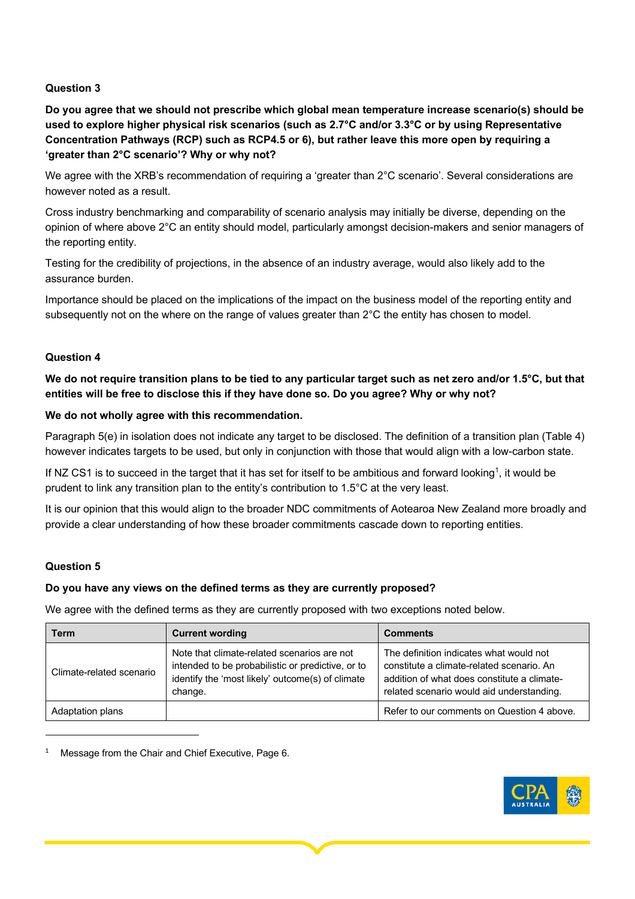## **Question 3**

**Do you agree that we should not prescribe which global mean temperature increase scenario(s) should be used to explore higher physical risk scenarios (such as 2.7°C and/or 3.3°C or by using Representative Concentration Pathways (RCP) such as RCP4.5 or 6), but rather leave this more open by requiring a 'greater than 2°C scenario'? Why or why not?** 

We agree with the XRB's recommendation of requiring a 'greater than 2°C scenario'. Several considerations are however noted as a result.

Cross industry benchmarking and comparability of scenario analysis may initially be diverse, depending on the opinion of where above 2°C an entity should model, particularly amongst decision-makers and senior managers of the reporting entity.

Testing for the credibility of projections, in the absence of an industry average, would also likely add to the assurance burden.

Importance should be placed on the implications of the impact on the business model of the reporting entity and subsequently not on the where on the range of values greater than 2°C the entity has chosen to model.

#### **Question 4**

**We do not require transition plans to be tied to any particular target such as net zero and/or 1.5°C, but that entities will be free to disclose this if they have done so. Do you agree? Why or why not?** 

#### **We do not wholly agree with this recommendation.**

Paragraph 5(e) in isolation does not indicate any target to be disclosed. The definition of a transition plan (Table 4) however indicates targets to be used, but only in conjunction with those that would align with a low-carbon state.

If NZ CS1 is to succeed in the target that it has set for itself to be ambitious and forward looking<sup>1</sup>, it would be prudent to link any transition plan to the entity's contribution to 1.5°C at the very least.

It is our opinion that this would align to the broader NDC commitments of Aotearoa New Zealand more broadly and provide a clear understanding of how these broader commitments cascade down to reporting entities.

#### **Question 5**

#### **Do you have any views on the defined terms as they are currently proposed?**

We agree with the defined terms as they are currently proposed with two exceptions noted below.

| Term                     | <b>Current wording</b>                                                                                                                                          | <b>Comments</b>                                                                                                                                                                  |
|--------------------------|-----------------------------------------------------------------------------------------------------------------------------------------------------------------|----------------------------------------------------------------------------------------------------------------------------------------------------------------------------------|
| Climate-related scenario | Note that climate-related scenarios are not<br>intended to be probabilistic or predictive, or to<br>identify the 'most likely' outcome(s) of climate<br>change. | The definition indicates what would not<br>constitute a climate-related scenario. An<br>addition of what does constitute a climate-<br>related scenario would aid understanding. |
| Adaptation plans         |                                                                                                                                                                 | Refer to our comments on Question 4 above.                                                                                                                                       |

<sup>1</sup> Message from the Chair and Chief Executive, Page 6.

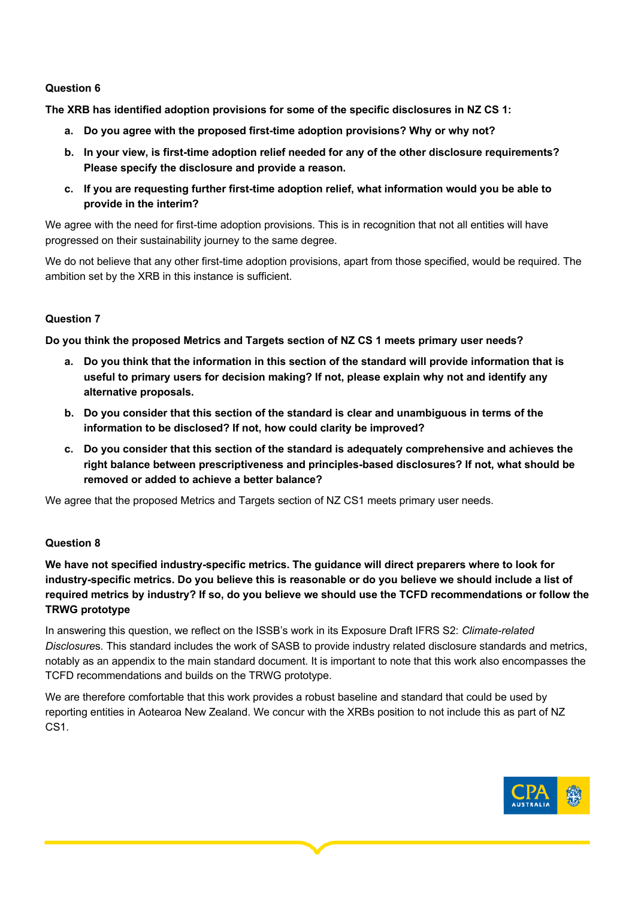#### **Question 6**

**The XRB has identified adoption provisions for some of the specific disclosures in NZ CS 1:** 

- **a. Do you agree with the proposed first-time adoption provisions? Why or why not?**
- **b. In your view, is first-time adoption relief needed for any of the other disclosure requirements? Please specify the disclosure and provide a reason.**
- **c. If you are requesting further first-time adoption relief, what information would you be able to provide in the interim?**

We agree with the need for first-time adoption provisions. This is in recognition that not all entities will have progressed on their sustainability journey to the same degree.

We do not believe that any other first-time adoption provisions, apart from those specified, would be required. The ambition set by the XRB in this instance is sufficient.

## **Question 7**

**Do you think the proposed Metrics and Targets section of NZ CS 1 meets primary user needs?** 

- **a. Do you think that the information in this section of the standard will provide information that is useful to primary users for decision making? If not, please explain why not and identify any alternative proposals.**
- **b. Do you consider that this section of the standard is clear and unambiguous in terms of the information to be disclosed? If not, how could clarity be improved?**
- **c. Do you consider that this section of the standard is adequately comprehensive and achieves the right balance between prescriptiveness and principles-based disclosures? If not, what should be removed or added to achieve a better balance?**

We agree that the proposed Metrics and Targets section of NZ CS1 meets primary user needs.

## **Question 8**

**We have not specified industry-specific metrics. The guidance will direct preparers where to look for industry-specific metrics. Do you believe this is reasonable or do you believe we should include a list of required metrics by industry? If so, do you believe we should use the TCFD recommendations or follow the TRWG prototype**

In answering this question, we reflect on the ISSB's work in its Exposure Draft IFRS S2: *Climate-related Disclosure*s. This standard includes the work of SASB to provide industry related disclosure standards and metrics, notably as an appendix to the main standard document. It is important to note that this work also encompasses the TCFD recommendations and builds on the TRWG prototype.

We are therefore comfortable that this work provides a robust baseline and standard that could be used by reporting entities in Aotearoa New Zealand. We concur with the XRBs position to not include this as part of NZ CS1.

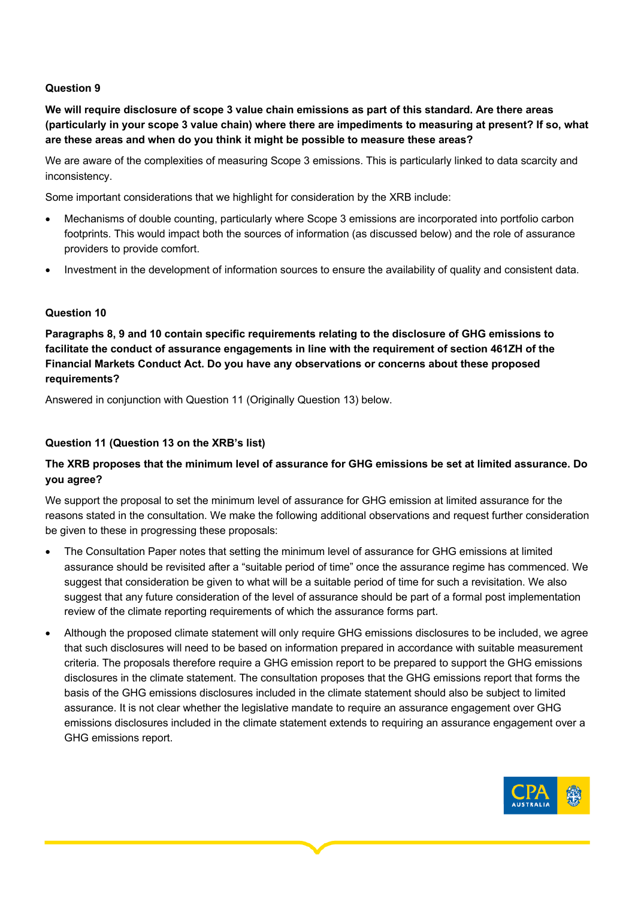#### **Question 9**

**We will require disclosure of scope 3 value chain emissions as part of this standard. Are there areas (particularly in your scope 3 value chain) where there are impediments to measuring at present? If so, what are these areas and when do you think it might be possible to measure these areas?** 

We are aware of the complexities of measuring Scope 3 emissions. This is particularly linked to data scarcity and inconsistency.

Some important considerations that we highlight for consideration by the XRB include:

- Mechanisms of double counting, particularly where Scope 3 emissions are incorporated into portfolio carbon footprints. This would impact both the sources of information (as discussed below) and the role of assurance providers to provide comfort.
- Investment in the development of information sources to ensure the availability of quality and consistent data.

## **Question 10**

**Paragraphs 8, 9 and 10 contain specific requirements relating to the disclosure of GHG emissions to facilitate the conduct of assurance engagements in line with the requirement of section 461ZH of the Financial Markets Conduct Act. Do you have any observations or concerns about these proposed requirements?**

Answered in conjunction with Question 11 (Originally Question 13) below.

## **Question 11 (Question 13 on the XRB's list)**

# **The XRB proposes that the minimum level of assurance for GHG emissions be set at limited assurance. Do you agree?**

We support the proposal to set the minimum level of assurance for GHG emission at limited assurance for the reasons stated in the consultation. We make the following additional observations and request further consideration be given to these in progressing these proposals:

- The Consultation Paper notes that setting the minimum level of assurance for GHG emissions at limited assurance should be revisited after a "suitable period of time" once the assurance regime has commenced. We suggest that consideration be given to what will be a suitable period of time for such a revisitation. We also suggest that any future consideration of the level of assurance should be part of a formal post implementation review of the climate reporting requirements of which the assurance forms part.
- Although the proposed climate statement will only require GHG emissions disclosures to be included, we agree that such disclosures will need to be based on information prepared in accordance with suitable measurement criteria. The proposals therefore require a GHG emission report to be prepared to support the GHG emissions disclosures in the climate statement. The consultation proposes that the GHG emissions report that forms the basis of the GHG emissions disclosures included in the climate statement should also be subject to limited assurance. It is not clear whether the legislative mandate to require an assurance engagement over GHG emissions disclosures included in the climate statement extends to requiring an assurance engagement over a GHG emissions report.

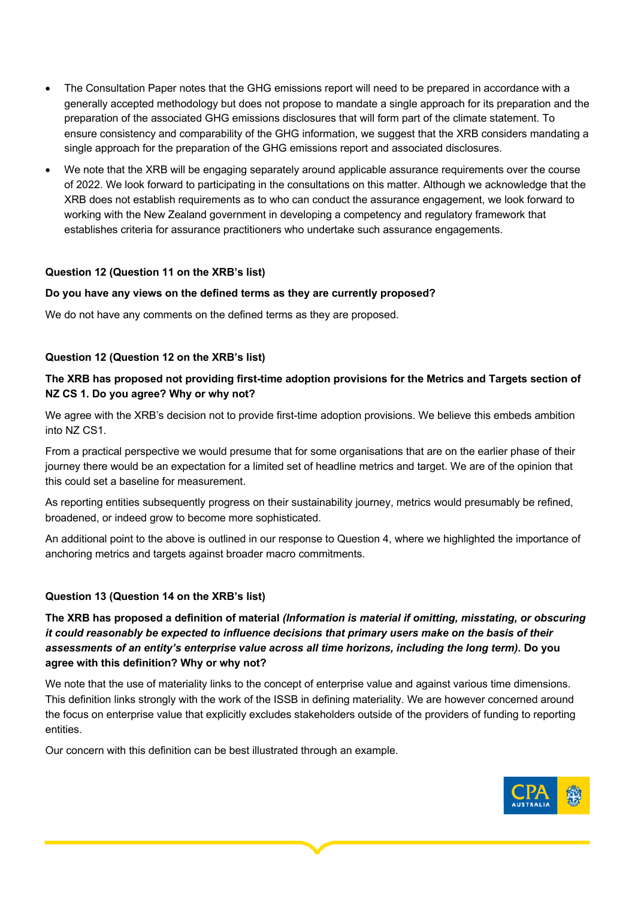- The Consultation Paper notes that the GHG emissions report will need to be prepared in accordance with a generally accepted methodology but does not propose to mandate a single approach for its preparation and the preparation of the associated GHG emissions disclosures that will form part of the climate statement. To ensure consistency and comparability of the GHG information, we suggest that the XRB considers mandating a single approach for the preparation of the GHG emissions report and associated disclosures.
- We note that the XRB will be engaging separately around applicable assurance requirements over the course of 2022. We look forward to participating in the consultations on this matter. Although we acknowledge that the XRB does not establish requirements as to who can conduct the assurance engagement, we look forward to working with the New Zealand government in developing a competency and regulatory framework that establishes criteria for assurance practitioners who undertake such assurance engagements.

#### **Question 12 (Question 11 on the XRB's list)**

#### **Do you have any views on the defined terms as they are currently proposed?**

We do not have any comments on the defined terms as they are proposed.

#### **Question 12 (Question 12 on the XRB's list)**

## **The XRB has proposed not providing first-time adoption provisions for the Metrics and Targets section of NZ CS 1. Do you agree? Why or why not?**

We agree with the XRB's decision not to provide first-time adoption provisions. We believe this embeds ambition into NZ CS1.

From a practical perspective we would presume that for some organisations that are on the earlier phase of their journey there would be an expectation for a limited set of headline metrics and target. We are of the opinion that this could set a baseline for measurement.

As reporting entities subsequently progress on their sustainability journey, metrics would presumably be refined, broadened, or indeed grow to become more sophisticated.

An additional point to the above is outlined in our response to Question 4, where we highlighted the importance of anchoring metrics and targets against broader macro commitments.

#### **Question 13 (Question 14 on the XRB's list)**

**The XRB has proposed a definition of material** *(Information is material if omitting, misstating, or obscuring it could reasonably be expected to influence decisions that primary users make on the basis of their assessments of an entity's enterprise value across all time horizons, including the long term).* **Do you agree with this definition? Why or why not?**

We note that the use of materiality links to the concept of enterprise value and against various time dimensions. This definition links strongly with the work of the ISSB in defining materiality. We are however concerned around the focus on enterprise value that explicitly excludes stakeholders outside of the providers of funding to reporting entities.

Our concern with this definition can be best illustrated through an example.